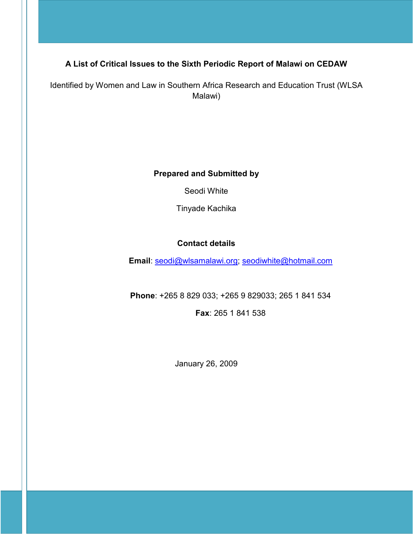# A List of Critical Issues to the Sixth Periodic Report of Malawi on CEDAW

Identified by Women and Law in Southern Africa Research and Education Trust (WLSA Malawi)

Prepared and Submitted by

Seodi White

Tinyade Kachika

## Contact details

Email: seodi@wlsamalawi.org; seodiwhite@hotmail.com

Phone: +265 8 829 033; +265 9 829033; 265 1 841 534

Fax: 265 1 841 538

January 26, 2009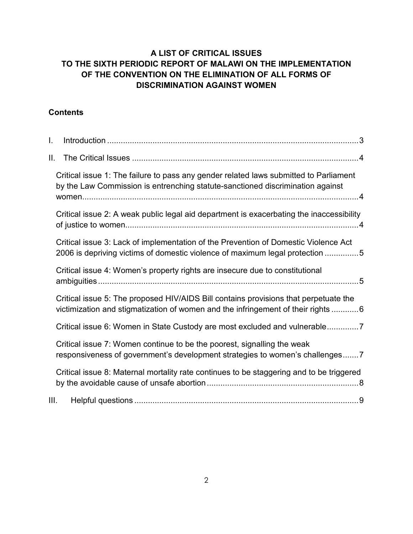# A LIST OF CRITICAL ISSUES TO THE SIXTH PERIODIC REPORT OF MALAWI ON THE IMPLEMENTATION OF THE CONVENTION ON THE ELIMINATION OF ALL FORMS OF DISCRIMINATION AGAINST WOMEN

## **Contents**

| I.   |                                                                                                                                                                          |
|------|--------------------------------------------------------------------------------------------------------------------------------------------------------------------------|
| II.  |                                                                                                                                                                          |
|      | Critical issue 1: The failure to pass any gender related laws submitted to Parliament<br>by the Law Commission is entrenching statute-sanctioned discrimination against  |
|      | Critical issue 2: A weak public legal aid department is exacerbating the inaccessibility                                                                                 |
|      | Critical issue 3: Lack of implementation of the Prevention of Domestic Violence Act<br>2006 is depriving victims of domestic violence of maximum legal protection 5      |
|      | Critical issue 4: Women's property rights are insecure due to constitutional                                                                                             |
|      | Critical issue 5: The proposed HIV/AIDS Bill contains provisions that perpetuate the<br>victimization and stigmatization of women and the infringement of their rights 6 |
|      | Critical issue 6: Women in State Custody are most excluded and vulnerable                                                                                                |
|      | Critical issue 7: Women continue to be the poorest, signalling the weak<br>responsiveness of government's development strategies to women's challenges7                  |
|      | Critical issue 8: Maternal mortality rate continues to be staggering and to be triggered                                                                                 |
| III. |                                                                                                                                                                          |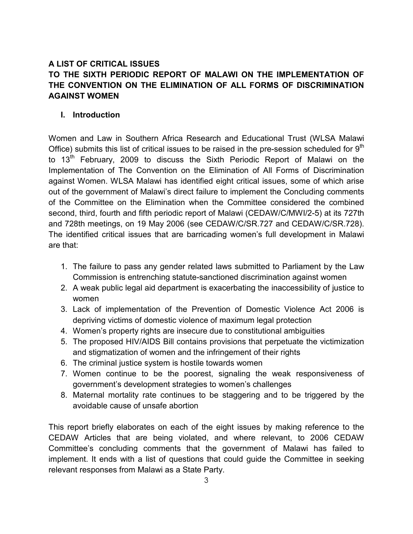## A LIST OF CRITICAL ISSUES TO THE SIXTH PERIODIC REPORT OF MALAWI ON THE IMPLEMENTATION OF THE CONVENTION ON THE ELIMINATION OF ALL FORMS OF DISCRIMINATION AGAINST WOMEN

#### I. Introduction

Women and Law in Southern Africa Research and Educational Trust (WLSA Malawi Office) submits this list of critical issues to be raised in the pre-session scheduled for  $9<sup>th</sup>$ to 13<sup>th</sup> February, 2009 to discuss the Sixth Periodic Report of Malawi on the Implementation of The Convention on the Elimination of All Forms of Discrimination against Women. WLSA Malawi has identified eight critical issues, some of which arise out of the government of Malawi's direct failure to implement the Concluding comments of the Committee on the Elimination when the Committee considered the combined second, third, fourth and fifth periodic report of Malawi (CEDAW/C/MWI/2-5) at its 727th and 728th meetings, on 19 May 2006 (see CEDAW/C/SR.727 and CEDAW/C/SR.728). The identified critical issues that are barricading women's full development in Malawi are that:

- 1. The failure to pass any gender related laws submitted to Parliament by the Law Commission is entrenching statute-sanctioned discrimination against women
- 2. A weak public legal aid department is exacerbating the inaccessibility of justice to women
- 3. Lack of implementation of the Prevention of Domestic Violence Act 2006 is depriving victims of domestic violence of maximum legal protection
- 4. Women's property rights are insecure due to constitutional ambiguities
- 5. The proposed HIV/AIDS Bill contains provisions that perpetuate the victimization and stigmatization of women and the infringement of their rights
- 6. The criminal justice system is hostile towards women
- 7. Women continue to be the poorest, signaling the weak responsiveness of government's development strategies to women's challenges
- 8. Maternal mortality rate continues to be staggering and to be triggered by the avoidable cause of unsafe abortion

This report briefly elaborates on each of the eight issues by making reference to the CEDAW Articles that are being violated, and where relevant, to 2006 CEDAW Committee's concluding comments that the government of Malawi has failed to implement. It ends with a list of questions that could guide the Committee in seeking relevant responses from Malawi as a State Party.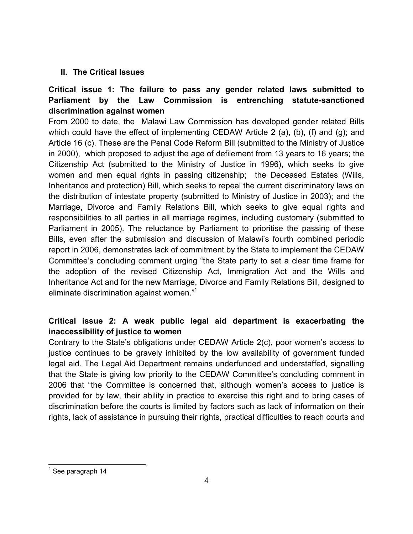#### II. The Critical Issues

# Critical issue 1: The failure to pass any gender related laws submitted to Parliament by the Law Commission is entrenching statute-sanctioned discrimination against women

From 2000 to date, the Malawi Law Commission has developed gender related Bills which could have the effect of implementing CEDAW Article 2 (a), (b), (f) and (g); and Article 16 (c). These are the Penal Code Reform Bill (submitted to the Ministry of Justice in 2000), which proposed to adjust the age of defilement from 13 years to 16 years; the Citizenship Act (submitted to the Ministry of Justice in 1996), which seeks to give women and men equal rights in passing citizenship; the Deceased Estates (Wills, Inheritance and protection) Bill, which seeks to repeal the current discriminatory laws on the distribution of intestate property (submitted to Ministry of Justice in 2003); and the Marriage, Divorce and Family Relations Bill, which seeks to give equal rights and responsibilities to all parties in all marriage regimes, including customary (submitted to Parliament in 2005). The reluctance by Parliament to prioritise the passing of these Bills, even after the submission and discussion of Malawi's fourth combined periodic report in 2006, demonstrates lack of commitment by the State to implement the CEDAW Committee's concluding comment urging "the State party to set a clear time frame for the adoption of the revised Citizenship Act, Immigration Act and the Wills and Inheritance Act and for the new Marriage, Divorce and Family Relations Bill, designed to eliminate discrimination against women."<sup>1</sup>

## Critical issue 2: A weak public legal aid department is exacerbating the inaccessibility of justice to women

Contrary to the State's obligations under CEDAW Article 2(c), poor women's access to justice continues to be gravely inhibited by the low availability of government funded legal aid. The Legal Aid Department remains underfunded and understaffed, signalling that the State is giving low priority to the CEDAW Committee's concluding comment in 2006 that "the Committee is concerned that, although women's access to justice is provided for by law, their ability in practice to exercise this right and to bring cases of discrimination before the courts is limited by factors such as lack of information on their rights, lack of assistance in pursuing their rights, practical difficulties to reach courts and

<sup>&</sup>lt;u>ta</u><br><sup>1</sup> See paragraph 14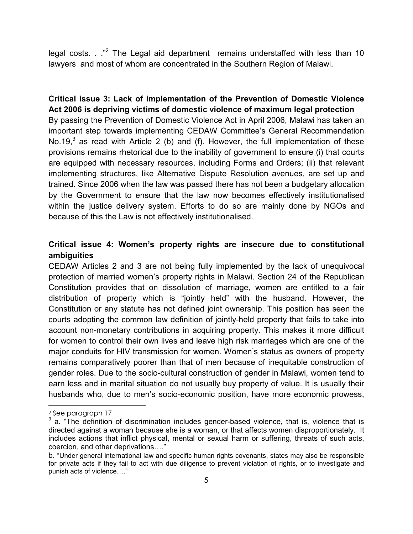legal costs.  $\cdot$  ."<sup>2</sup> The Legal aid department remains understaffed with less than 10 lawyers and most of whom are concentrated in the Southern Region of Malawi.

Critical issue 3: Lack of implementation of the Prevention of Domestic Violence Act 2006 is depriving victims of domestic violence of maximum legal protection By passing the Prevention of Domestic Violence Act in April 2006, Malawi has taken an important step towards implementing CEDAW Committee's General Recommendation No.19,<sup>3</sup> as read with Article 2 (b) and (f). However, the full implementation of these provisions remains rhetorical due to the inability of government to ensure (i) that courts are equipped with necessary resources, including Forms and Orders; (ii) that relevant implementing structures, like Alternative Dispute Resolution avenues, are set up and trained. Since 2006 when the law was passed there has not been a budgetary allocation by the Government to ensure that the law now becomes effectively institutionalised within the justice delivery system. Efforts to do so are mainly done by NGOs and because of this the Law is not effectively institutionalised.

## Critical issue 4: Women's property rights are insecure due to constitutional ambiguities

CEDAW Articles 2 and 3 are not being fully implemented by the lack of unequivocal protection of married women's property rights in Malawi. Section 24 of the Republican Constitution provides that on dissolution of marriage, women are entitled to a fair distribution of property which is "jointly held" with the husband. However, the Constitution or any statute has not defined joint ownership. This position has seen the courts adopting the common law definition of jointly-held property that fails to take into account non-monetary contributions in acquiring property. This makes it more difficult for women to control their own lives and leave high risk marriages which are one of the major conduits for HIV transmission for women. Women's status as owners of property remains comparatively poorer than that of men because of inequitable construction of gender roles. Due to the socio-cultural construction of gender in Malawi, women tend to earn less and in marital situation do not usually buy property of value. It is usually their husbands who, due to men's socio-economic position, have more economic prowess,

 $\overline{a}$ 

<sup>2</sup> See paragraph 17

 $3$  a. "The definition of discrimination includes gender-based violence, that is, violence that is directed against a woman because she is a woman, or that affects women disproportionately. It includes actions that inflict physical, mental or sexual harm or suffering, threats of such acts, coercion, and other deprivations…."

b. "Under general international law and specific human rights covenants, states may also be responsible for private acts if they fail to act with due diligence to prevent violation of rights, or to investigate and punish acts of violence…."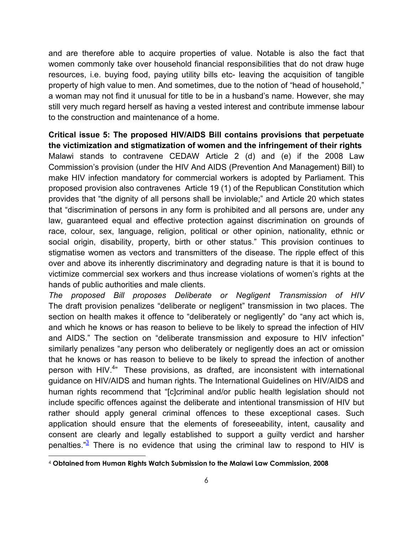and are therefore able to acquire properties of value. Notable is also the fact that women commonly take over household financial responsibilities that do not draw huge resources, i.e. buying food, paying utility bills etc- leaving the acquisition of tangible property of high value to men. And sometimes, due to the notion of "head of household," a woman may not find it unusual for title to be in a husband's name. However, she may still very much regard herself as having a vested interest and contribute immense labour to the construction and maintenance of a home.

## Critical issue 5: The proposed HIV/AIDS Bill contains provisions that perpetuate the victimization and stigmatization of women and the infringement of their rights

Malawi stands to contravene CEDAW Article 2 (d) and (e) if the 2008 Law Commission's provision (under the HIV And AIDS (Prevention And Management) Bill) to make HIV infection mandatory for commercial workers is adopted by Parliament. This proposed provision also contravenes Article 19 (1) of the Republican Constitution which provides that "the dignity of all persons shall be inviolable;" and Article 20 which states that "discrimination of persons in any form is prohibited and all persons are, under any law, guaranteed equal and effective protection against discrimination on grounds of race, colour, sex, language, religion, political or other opinion, nationality, ethnic or social origin, disability, property, birth or other status." This provision continues to stigmatise women as vectors and transmitters of the disease. The ripple effect of this over and above its inherently discriminatory and degrading nature is that it is bound to victimize commercial sex workers and thus increase violations of women's rights at the hands of public authorities and male clients.

The proposed Bill proposes Deliberate or Negligent Transmission of HIV The draft provision penalizes "deliberate or negligent" transmission in two places. The section on health makes it offence to "deliberately or negligently" do "any act which is, and which he knows or has reason to believe to be likely to spread the infection of HIV and AIDS." The section on "deliberate transmission and exposure to HIV infection" similarly penalizes "any person who deliberately or negligently does an act or omission that he knows or has reason to believe to be likely to spread the infection of another person with HIV.<sup>4</sup>" These provisions, as drafted, are inconsistent with international guidance on HIV/AIDS and human rights. The International Guidelines on HIV/AIDS and human rights recommend that "[c]criminal and/or public health legislation should not include specific offences against the deliberate and intentional transmission of HIV but rather should apply general criminal offences to these exceptional cases. Such application should ensure that the elements of foreseeability, intent, causality and consent are clearly and legally established to support a guilty verdict and harsher penalties."<sup>3</sup> There is no evidence that using the criminal law to respond to HIV is

<sup>4</sup> Obtained from Human Rights Watch Submission to the Malawi Law Commission, 2008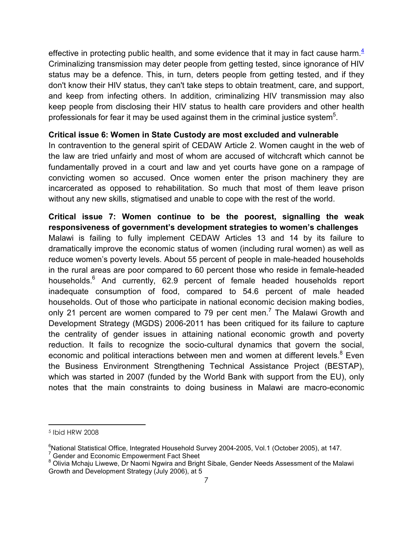effective in protecting public health, and some evidence that it may in fact cause harm  $4\overline{4}$ Criminalizing transmission may deter people from getting tested, since ignorance of HIV status may be a defence. This, in turn, deters people from getting tested, and if they don't know their HIV status, they can't take steps to obtain treatment, care, and support, and keep from infecting others. In addition, criminalizing HIV transmission may also keep people from disclosing their HIV status to health care providers and other health professionals for fear it may be used against them in the criminal justice system<sup>5</sup>.

#### Critical issue 6: Women in State Custody are most excluded and vulnerable

In contravention to the general spirit of CEDAW Article 2. Women caught in the web of the law are tried unfairly and most of whom are accused of witchcraft which cannot be fundamentally proved in a court and law and yet courts have gone on a rampage of convicting women so accused. Once women enter the prison machinery they are incarcerated as opposed to rehabilitation. So much that most of them leave prison without any new skills, stigmatised and unable to cope with the rest of the world.

## Critical issue 7: Women continue to be the poorest, signalling the weak responsiveness of government's development strategies to women's challenges

Malawi is failing to fully implement CEDAW Articles 13 and 14 by its failure to dramatically improve the economic status of women (including rural women) as well as reduce women's poverty levels. About 55 percent of people in male-headed households in the rural areas are poor compared to 60 percent those who reside in female-headed households.<sup>6</sup> And currently, 62.9 percent of female headed households report inadequate consumption of food, compared to 54.6 percent of male headed households. Out of those who participate in national economic decision making bodies, only 21 percent are women compared to 79 per cent men.<sup>7</sup> The Malawi Growth and Development Strategy (MGDS) 2006-2011 has been critiqued for its failure to capture the centrality of gender issues in attaining national economic growth and poverty reduction. It fails to recognize the socio-cultural dynamics that govern the social, economic and political interactions between men and women at different levels.<sup>8</sup> Even the Business Environment Strengthening Technical Assistance Project (BESTAP), which was started in 2007 (funded by the World Bank with support from the EU), only notes that the main constraints to doing business in Malawi are macro-economic

<sup>5</sup> Ibid HRW 2008

 $^6$ National Statistical Office, Integrated Household Survey 2004-2005, Vol.1 (October 2005), at 147.<br><sup>7</sup> Gender and Economic Empowerment Fact Sheet

<sup>&</sup>lt;sup>8</sup> Olivia Mchaju Liwewe, Dr Naomi Ngwira and Bright Sibale, Gender Needs Assessment of the Malawi Growth and Development Strategy (July 2006), at 5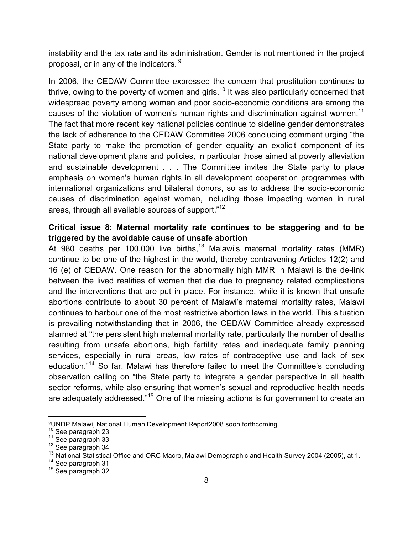instability and the tax rate and its administration. Gender is not mentioned in the project proposal, or in any of the indicators.  $9$ 

In 2006, the CEDAW Committee expressed the concern that prostitution continues to thrive, owing to the poverty of women and girls.<sup>10</sup> It was also particularly concerned that widespread poverty among women and poor socio-economic conditions are among the causes of the violation of women's human rights and discrimination against women.<sup>11</sup> The fact that more recent key national policies continue to sideline gender demonstrates the lack of adherence to the CEDAW Committee 2006 concluding comment urging "the State party to make the promotion of gender equality an explicit component of its national development plans and policies, in particular those aimed at poverty alleviation and sustainable development . . . The Committee invites the State party to place emphasis on women's human rights in all development cooperation programmes with international organizations and bilateral donors, so as to address the socio-economic causes of discrimination against women, including those impacting women in rural areas, through all available sources of support."<sup>12</sup>

#### Critical issue 8: Maternal mortality rate continues to be staggering and to be triggered by the avoidable cause of unsafe abortion

At 980 deaths per 100,000 live births,<sup>13</sup> Malawi's maternal mortality rates (MMR) continue to be one of the highest in the world, thereby contravening Articles 12(2) and 16 (e) of CEDAW. One reason for the abnormally high MMR in Malawi is the de-link between the lived realities of women that die due to pregnancy related complications and the interventions that are put in place. For instance, while it is known that unsafe abortions contribute to about 30 percent of Malawi's maternal mortality rates, Malawi continues to harbour one of the most restrictive abortion laws in the world. This situation is prevailing notwithstanding that in 2006, the CEDAW Committee already expressed alarmed at "the persistent high maternal mortality rate, particularly the number of deaths resulting from unsafe abortions, high fertility rates and inadequate family planning services, especially in rural areas, low rates of contraceptive use and lack of sex education."<sup>14</sup> So far, Malawi has therefore failed to meet the Committee's concluding observation calling on "the State party to integrate a gender perspective in all health sector reforms, while also ensuring that women's sexual and reproductive health needs are adequately addressed."<sup>15</sup> One of the missing actions is for government to create an

 $\overline{a}$ 

<sup>9</sup>UNDP Malawi, National Human Development Report2008 soon forthcoming

<sup>&</sup>lt;sup>10</sup> See paragraph 23

 $11$  See paragraph 33

<sup>&</sup>lt;sup>12</sup> See paragraph 34

<sup>&</sup>lt;sup>13</sup> National Statistical Office and ORC Macro, Malawi Demographic and Health Survey 2004 (2005), at 1.

<sup>&</sup>lt;sup>14</sup> See paragraph 31

<sup>&</sup>lt;sup>15</sup> See paragraph 32